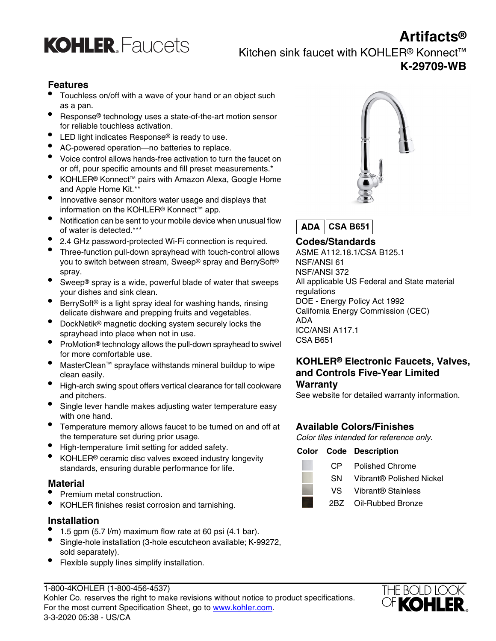



## Kitchen sink faucet with KOHLER® Konnect™ **K-29709-WB**

## **Features**

- Touchless on/off with a wave of your hand or an object such as a pan.
- Response® technology uses a state-of-the-art motion sensor for reliable touchless activation.
- LED light indicates Response® is ready to use.
- AC-powered operation—no batteries to replace.
- Voice control allows hands-free activation to turn the faucet on or off, pour specific amounts and fill preset measurements.\*
- KOHLER® Konnect™ pairs with Amazon Alexa, Google Home and Apple Home Kit.\*\*
- Innovative sensor monitors water usage and displays that information on the KOHLER® Konnect™ app.
- Notification can be sent to your mobile device when unusual flow of water is detected.\*\*\*
- 2.4 GHz password-protected Wi-Fi connection is required. **Codes/Standards**
- Three-function pull-down sprayhead with touch-control allows you to switch between stream, Sweep® spray and BerrySoft® spray.
- Sweep® spray is a wide, powerful blade of water that sweeps your dishes and sink clean.
- BerrySoft® is a light spray ideal for washing hands, rinsing DOE Energy Policy Act 1992<br>delicate dishware and prepping fruits and vegetables. California Energy Commission (CEC) delicate dishware and prepping fruits and vegetables. California California Energy Commission (CEC) Commission COMMI
- DockNetik® magnetic docking system securely locks the **ADA**<br>ICC/ANSI A117.1 sprayhead into place when not in use.<br>
CSA B651.
- ProMotion® technology allows the pull-down sprayhead to swivel for more comfortable use.
- MasterClean™ sprayface withstands mineral buildup to wipe clean easily.
- High-arch swing spout offers vertical clearance for tall cookware and pitchers. See website for detailed warranty information.
- Single lever handle makes adjusting water temperature easy with one hand.
- Temperature memory allows faucet to be turned on and off at **Available Colors/Finishes**
- High-temperature limit setting for added safety. **Color Code Description**
- KOHLER<sup>®</sup> ceramic disc valves exceed industry longevity standards, ensuring durable performance for life. CP Polished Chrome

- 
- Premium metal construction.<br>
VOHLER finishes resist corrosion and tarnishing<br>
VOHLER finishes resist corrosion and tarnishing<br>
2BZ Oil-Rubbed Bronze KOHLER finishes resist corrosion and tarnishing.

### **Installation**

- 1.5 gpm  $(5.7 \text{ V/m})$  maximum flow rate at 60 psi  $(4.1 \text{ bar})$ .
- Single-hole installation (3-hole escutcheon available; K-99272, sold separately).
- Flexible supply lines simplify installation.

 $ADA$ **CSA B651**

ASME A112.18.1/CSA B125.1 NSF/ANSI 61 NSF/ANSI 372 All applicable US Federal and State material regulations

## **KOHLER® Electronic Faucets, Valves, and Controls Five-Year Limited Warranty**

Color tiles intended for reference only.

| . |  |  |
|---|--|--|
|   |  |  |

- 
- SN Vibrant® Polished Nickel **Material**
	-